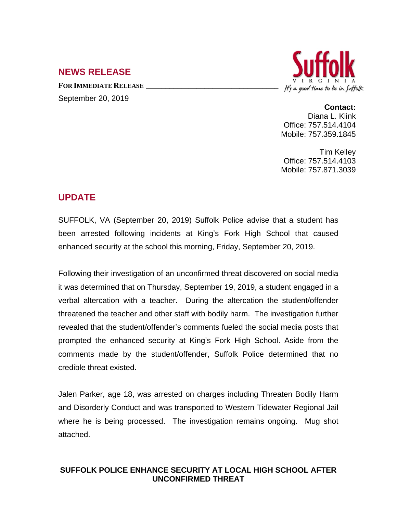## **NEWS RELEASE**

**FOR IMMEDIATE RELEASE \_\_\_\_\_\_\_\_\_\_\_\_\_\_\_\_\_\_\_\_\_\_\_\_\_\_\_\_\_\_\_\_\_\_** September 20, 2019



**Contact:**

Diana L. Klink Office: 757.514.4104 Mobile: 757.359.1845

Tim Kelley Office: 757.514.4103 Mobile: 757.871.3039

## **UPDATE**

SUFFOLK, VA (September 20, 2019) Suffolk Police advise that a student has been arrested following incidents at King's Fork High School that caused enhanced security at the school this morning, Friday, September 20, 2019.

Following their investigation of an unconfirmed threat discovered on social media it was determined that on Thursday, September 19, 2019, a student engaged in a verbal altercation with a teacher. During the altercation the student/offender threatened the teacher and other staff with bodily harm. The investigation further revealed that the student/offender's comments fueled the social media posts that prompted the enhanced security at King's Fork High School. Aside from the comments made by the student/offender, Suffolk Police determined that no credible threat existed.

Jalen Parker, age 18, was arrested on charges including Threaten Bodily Harm and Disorderly Conduct and was transported to Western Tidewater Regional Jail where he is being processed. The investigation remains ongoing. Mug shot attached.

## **SUFFOLK POLICE ENHANCE SECURITY AT LOCAL HIGH SCHOOL AFTER UNCONFIRMED THREAT**